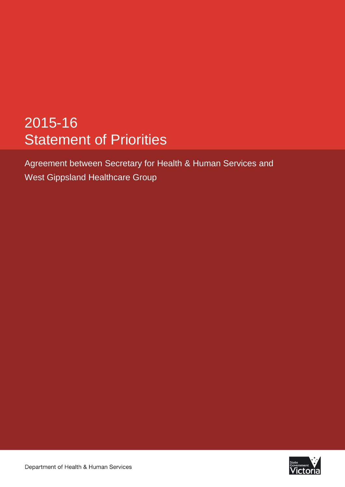# 2015-16 Statement of Priorities

Agreement between Secretary for Health & Human Services and West Gippsland Healthcare Group

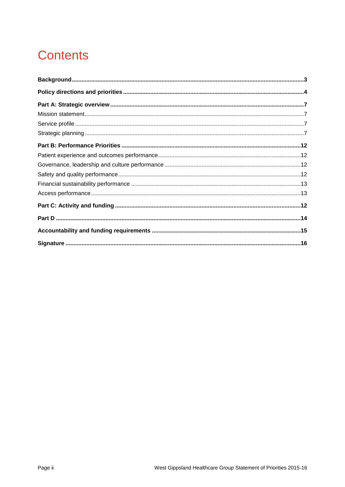# **Contents**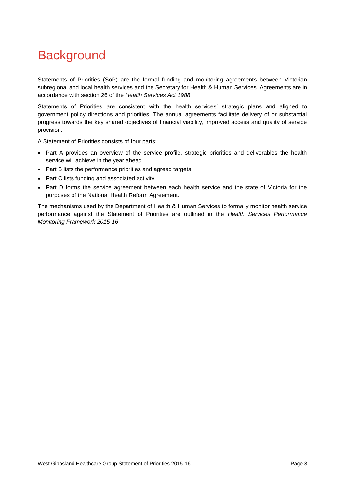## <span id="page-2-0"></span>**Background**

Statements of Priorities (SoP) are the formal funding and monitoring agreements between Victorian subregional and local health services and the Secretary for Health & Human Services. Agreements are in accordance with section 26 of the *Health Services Act 1988.*

Statements of Priorities are consistent with the health services' strategic plans and aligned to government policy directions and priorities. The annual agreements facilitate delivery of or substantial progress towards the key shared objectives of financial viability, improved access and quality of service provision.

A Statement of Priorities consists of four parts:

- Part A provides an overview of the service profile, strategic priorities and deliverables the health service will achieve in the year ahead.
- Part B lists the performance priorities and agreed targets.
- Part C lists funding and associated activity.
- Part D forms the service agreement between each health service and the state of Victoria for the purposes of the National Health Reform Agreement.

The mechanisms used by the Department of Health & Human Services to formally monitor health service performance against the Statement of Priorities are outlined in the *Health Services Performance Monitoring Framework 2015-16*.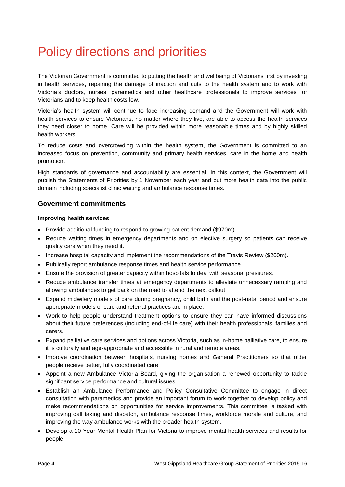# <span id="page-3-0"></span>Policy directions and priorities

The Victorian Government is committed to putting the health and wellbeing of Victorians first by investing in health services, repairing the damage of inaction and cuts to the health system and to work with Victoria's doctors, nurses, paramedics and other healthcare professionals to improve services for Victorians and to keep health costs low.

Victoria's health system will continue to face increasing demand and the Government will work with health services to ensure Victorians, no matter where they live, are able to access the health services they need closer to home. Care will be provided within more reasonable times and by highly skilled health workers.

To reduce costs and overcrowding within the health system, the Government is committed to an increased focus on prevention, community and primary health services, care in the home and health promotion.

High standards of governance and accountability are essential. In this context, the Government will publish the Statements of Priorities by 1 November each year and put more health data into the public domain including specialist clinic waiting and ambulance response times.

### **Government commitments**

#### **Improving health services**

- Provide additional funding to respond to growing patient demand (\$970m).
- Reduce waiting times in emergency departments and on elective surgery so patients can receive quality care when they need it.
- Increase hospital capacity and implement the recommendations of the Travis Review (\$200m).
- Publically report ambulance response times and health service performance.
- Ensure the provision of greater capacity within hospitals to deal with seasonal pressures.
- Reduce ambulance transfer times at emergency departments to alleviate unnecessary ramping and allowing ambulances to get back on the road to attend the next callout.
- Expand midwifery models of care during pregnancy, child birth and the post-natal period and ensure appropriate models of care and referral practices are in place.
- Work to help people understand treatment options to ensure they can have informed discussions about their future preferences (including end-of-life care) with their health professionals, families and carers.
- Expand palliative care services and options across Victoria, such as in-home palliative care, to ensure it is culturally and age-appropriate and accessible in rural and remote areas.
- Improve coordination between hospitals, nursing homes and General Practitioners so that older people receive better, fully coordinated care.
- Appoint a new Ambulance Victoria Board, giving the organisation a renewed opportunity to tackle significant service performance and cultural issues.
- Establish an Ambulance Performance and Policy Consultative Committee to engage in direct consultation with paramedics and provide an important forum to work together to develop policy and make recommendations on opportunities for service improvements. This committee is tasked with improving call taking and dispatch, ambulance response times, workforce morale and culture, and improving the way ambulance works with the broader health system.
- Develop a 10 Year Mental Health Plan for Victoria to improve mental health services and results for people.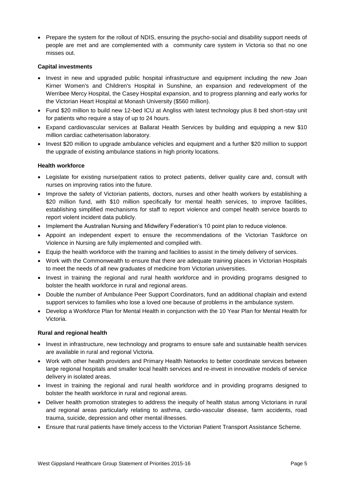• Prepare the system for the rollout of NDIS, ensuring the psycho-social and disability support needs of people are met and are complemented with a community care system in Victoria so that no one misses out.

#### **Capital investments**

- Invest in new and upgraded public hospital infrastructure and equipment including the new Joan Kirner Women's and Children's Hospital in Sunshine, an expansion and redevelopment of the Werribee Mercy Hospital, the Casey Hospital expansion, and to progress planning and early works for the Victorian Heart Hospital at Monash University (\$560 million).
- Fund \$20 million to build new 12-bed ICU at Angliss with latest technology plus 8 bed short-stay unit for patients who require a stay of up to 24 hours.
- Expand cardiovascular services at Ballarat Health Services by building and equipping a new \$10 million cardiac catheterisation laboratory.
- Invest \$20 million to upgrade ambulance vehicles and equipment and a further \$20 million to support the upgrade of existing ambulance stations in high priority locations.

#### **Health workforce**

- Legislate for existing nurse/patient ratios to protect patients, deliver quality care and, consult with nurses on improving ratios into the future.
- Improve the safety of Victorian patients, doctors, nurses and other health workers by establishing a \$20 million fund, with \$10 million specifically for mental health services, to improve facilities, establishing simplified mechanisms for staff to report violence and compel health service boards to report violent incident data publicly.
- Implement the Australian Nursing and Midwifery Federation's 10 point plan to reduce violence.
- Appoint an independent expert to ensure the recommendations of the Victorian Taskforce on Violence in Nursing are fully implemented and complied with.
- Equip the health workforce with the training and facilities to assist in the timely delivery of services.
- Work with the Commonwealth to ensure that there are adequate training places in Victorian Hospitals to meet the needs of all new graduates of medicine from Victorian universities.
- Invest in training the regional and rural health workforce and in providing programs designed to bolster the health workforce in rural and regional areas.
- Double the number of Ambulance Peer Support Coordinators, fund an additional chaplain and extend support services to families who lose a loved one because of problems in the ambulance system.
- Develop a Workforce Plan for Mental Health in conjunction with the 10 Year Plan for Mental Health for Victoria.

#### **Rural and regional health**

- Invest in infrastructure, new technology and programs to ensure safe and sustainable health services are available in rural and regional Victoria.
- Work with other health providers and Primary Health Networks to better coordinate services between large regional hospitals and smaller local health services and re-invest in innovative models of service delivery in isolated areas.
- Invest in training the regional and rural health workforce and in providing programs designed to bolster the health workforce in rural and regional areas.
- Deliver health promotion strategies to address the inequity of health status among Victorians in rural and regional areas particularly relating to asthma, cardio-vascular disease, farm accidents, road trauma, suicide, depression and other mental illnesses.
- Ensure that rural patients have timely access to the Victorian Patient Transport Assistance Scheme.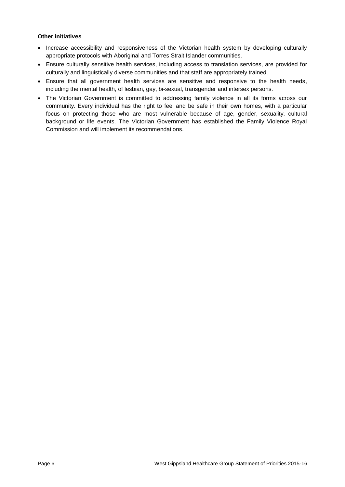### **Other initiatives**

- Increase accessibility and responsiveness of the Victorian health system by developing culturally appropriate protocols with Aboriginal and Torres Strait Islander communities.
- Ensure culturally sensitive health services, including access to translation services, are provided for culturally and linguistically diverse communities and that staff are appropriately trained.
- Ensure that all government health services are sensitive and responsive to the health needs, including the mental health, of lesbian, gay, bi-sexual, transgender and intersex persons.
- The Victorian Government is committed to addressing family violence in all its forms across our community. Every individual has the right to feel and be safe in their own homes, with a particular focus on protecting those who are most vulnerable because of age, gender, sexuality, cultural background or life events. The Victorian Government has established the Family Violence Royal Commission and will implement its recommendations.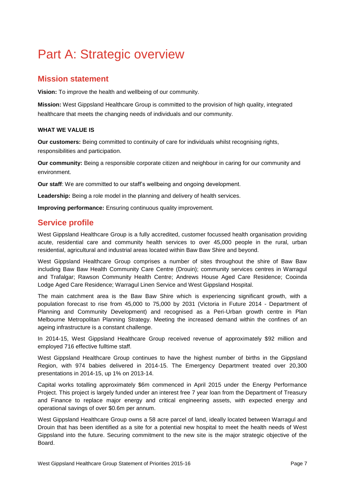# <span id="page-6-0"></span>Part A: Strategic overview

### <span id="page-6-1"></span>**Mission statement**

<span id="page-6-2"></span>**Vision:** To improve the health and wellbeing of our community.

**Mission:** West Gippsland Healthcare Group is committed to the provision of high quality, integrated healthcare that meets the changing needs of individuals and our community.

### **WHAT WE VALUE IS**

**Our customers:** Being committed to continuity of care for individuals whilst recognising rights, responsibilities and participation.

**Our community:** Being a responsible corporate citizen and neighbour in caring for our community and environment.

**Our staff**: We are committed to our staff's wellbeing and ongoing development.

**Leadership:** Being a role model in the planning and delivery of health services.

**Improving performance:** Ensuring continuous quality improvement.

### **Service profile**

<span id="page-6-3"></span>West Gippsland Healthcare Group is a fully accredited, customer focussed health organisation providing acute, residential care and community health services to over 45,000 people in the rural, urban residential, agricultural and industrial areas located within Baw Baw Shire and beyond.

West Gippsland Healthcare Group comprises a number of sites throughout the shire of Baw Baw including Baw Baw Health Community Care Centre (Drouin); community services centres in Warragul and Trafalgar; Rawson Community Health Centre; Andrews House Aged Care Residence; Cooinda Lodge Aged Care Residence; Warragul Linen Service and West Gippsland Hospital.

The main catchment area is the Baw Baw Shire which is experiencing significant growth, with a population forecast to rise from 45,000 to 75,000 by 2031 (Victoria in Future 2014 - Department of Planning and Community Development) and recognised as a Peri-Urban growth centre in Plan Melbourne Metropolitan Planning Strategy. Meeting the increased demand within the confines of an ageing infrastructure is a constant challenge.

In 2014-15, West Gippsland Healthcare Group received revenue of approximately \$92 million and employed 716 effective fulltime staff.

West Gippsland Healthcare Group continues to have the highest number of births in the Gippsland Region, with 974 babies delivered in 2014-15. The Emergency Department treated over 20,300 presentations in 2014-15, up 1% on 2013-14.

Capital works totalling approximately \$6m commenced in April 2015 under the Energy Performance Project. This project is largely funded under an interest free 7 year loan from the Department of Treasury and Finance to replace major energy and critical engineering assets, with expected energy and operational savings of over \$0.6m per annum.

West Gippsland Healthcare Group owns a 58 acre parcel of land, ideally located between Warragul and Drouin that has been identified as a site for a potential new hospital to meet the health needs of West Gippsland into the future. Securing commitment to the new site is the major strategic objective of the Board.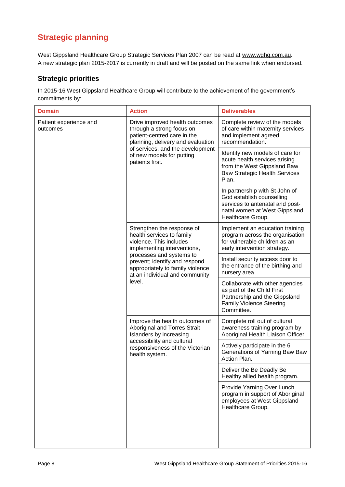## **Strategic planning**

West Gippsland Healthcare Group Strategic Services Plan 2007 can be read at www.wghg.com.au. A new strategic plan 2015-2017 is currently in draft and will be posted on the same link when endorsed.

### **Strategic priorities**

In 2015-16 West Gippsland Healthcare Group will contribute to the achievement of the government's commitments by:

| <b>Domain</b>                      | <b>Action</b>                                                                                                                                                                                                                                                  | <b>Deliverables</b>                                                                                                                                  |
|------------------------------------|----------------------------------------------------------------------------------------------------------------------------------------------------------------------------------------------------------------------------------------------------------------|------------------------------------------------------------------------------------------------------------------------------------------------------|
| Patient experience and<br>outcomes | Drive improved health outcomes<br>through a strong focus on<br>patient-centred care in the<br>planning, delivery and evaluation<br>of services, and the development<br>of new models for putting<br>patients first.                                            | Complete review of the models<br>of care within maternity services<br>and implement agreed<br>recommendation.                                        |
|                                    |                                                                                                                                                                                                                                                                | Identify new models of care for<br>acute health services arising<br>from the West Gippsland Baw<br><b>Baw Strategic Health Services</b><br>Plan.     |
|                                    |                                                                                                                                                                                                                                                                | In partnership with St John of<br>God establish counselling<br>services to antenatal and post-<br>natal women at West Gippsland<br>Healthcare Group. |
|                                    | Strengthen the response of<br>health services to family<br>violence. This includes<br>implementing interventions,<br>processes and systems to<br>prevent; identify and respond<br>appropriately to family violence<br>at an individual and community<br>level. | Implement an education training<br>program across the organisation<br>for vulnerable children as an<br>early intervention strategy.                  |
|                                    |                                                                                                                                                                                                                                                                | Install security access door to<br>the entrance of the birthing and<br>nursery area.                                                                 |
|                                    |                                                                                                                                                                                                                                                                | Collaborate with other agencies<br>as part of the Child First<br>Partnership and the Gippsland<br><b>Family Violence Steering</b><br>Committee.      |
|                                    | Improve the health outcomes of<br>Aboriginal and Torres Strait<br>Islanders by increasing<br>accessibility and cultural<br>responsiveness of the Victorian<br>health system.                                                                                   | Complete roll out of cultural<br>awareness training program by<br>Aboriginal Health Liaison Officer.                                                 |
|                                    |                                                                                                                                                                                                                                                                | Actively participate in the 6<br>Generations of Yarning Baw Baw<br>Action Plan.                                                                      |
|                                    |                                                                                                                                                                                                                                                                | Deliver the Be Deadly Be<br>Healthy allied health program.                                                                                           |
|                                    |                                                                                                                                                                                                                                                                | Provide Yarning Over Lunch<br>program in support of Aboriginal<br>employees at West Gippsland<br>Healthcare Group.                                   |
|                                    |                                                                                                                                                                                                                                                                |                                                                                                                                                      |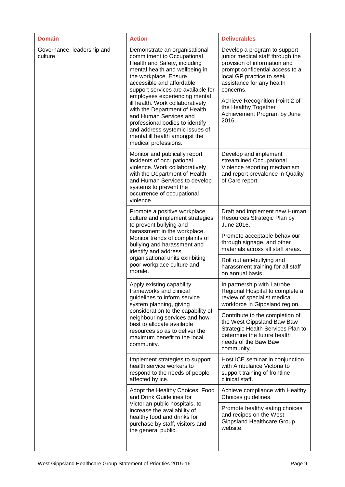| <b>Domain</b>                         | <b>Action</b>                                                                                                                                                                                                                                                                                        | <b>Deliverables</b>                                                                                                                                                                                        |
|---------------------------------------|------------------------------------------------------------------------------------------------------------------------------------------------------------------------------------------------------------------------------------------------------------------------------------------------------|------------------------------------------------------------------------------------------------------------------------------------------------------------------------------------------------------------|
| Governance, leadership and<br>culture | Demonstrate an organisational<br>commitment to Occupational<br>Health and Safety, including<br>mental health and wellbeing in<br>the workplace. Ensure<br>accessible and affordable<br>support services are available for<br>employees experiencing mental                                           | Develop a program to support<br>junior medical staff through the<br>provision of information and<br>prompt confidential access to a<br>local GP practice to seek<br>assistance for any health<br>concerns. |
|                                       | ill health. Work collaboratively<br>with the Department of Health<br>and Human Services and<br>professional bodies to identify<br>and address systemic issues of<br>mental ill health amongst the<br>medical professions.                                                                            | Achieve Recognition Point 2 of<br>the Healthy Together<br>Achievement Program by June<br>2016.                                                                                                             |
|                                       | Monitor and publically report<br>incidents of occupational<br>violence. Work collaboratively<br>with the Department of Health<br>and Human Services to develop<br>systems to prevent the<br>occurrence of occupational<br>violence.                                                                  | Develop and implement<br>streamlined Occupational<br>Violence reporting mechanism<br>and report prevalence in Quality<br>of Care report.                                                                   |
|                                       | Promote a positive workplace<br>culture and implement strategies<br>to prevent bullying and<br>harassment in the workplace.<br>Monitor trends of complaints of<br>bullying and harassment and<br>identify and address<br>organisational units exhibiting<br>poor workplace culture and<br>morale.    | Draft and implement new Human<br>Resources Strategic Plan by<br>June 2016.                                                                                                                                 |
|                                       |                                                                                                                                                                                                                                                                                                      | Promote acceptable behaviour<br>through signage, and other<br>materials across all staff areas.                                                                                                            |
|                                       |                                                                                                                                                                                                                                                                                                      | Roll out anti-bullying and<br>harassment training for all staff<br>on annual basis.                                                                                                                        |
|                                       | Apply existing capability<br>frameworks and clinical<br>guidelines to inform service<br>system planning, giving<br>consideration to the capability of<br>neighbouring services and how<br>best to allocate available<br>resources so as to deliver the<br>maximum benefit to the local<br>community. | In partnership with Latrobe<br>Regional Hospital to complete a<br>review of specialist medical<br>workforce in Gippsland region.                                                                           |
|                                       |                                                                                                                                                                                                                                                                                                      | Contribute to the completion of<br>the West Gippsland Baw Baw<br>Strategic Health Services Plan to<br>determine the future health<br>needs of the Baw Baw<br>community.                                    |
|                                       | Implement strategies to support<br>health service workers to<br>respond to the needs of people<br>affected by ice.                                                                                                                                                                                   | Host ICE seminar in conjunction<br>with Ambulance Victoria to<br>support training of frontline<br>clinical staff.                                                                                          |
|                                       | Adopt the Healthy Choices: Food<br>and Drink Guidelines for                                                                                                                                                                                                                                          | Achieve compliance with Healthy<br>Choices guidelines.                                                                                                                                                     |
|                                       | Victorian public hospitals, to<br>increase the availability of<br>healthy food and drinks for<br>purchase by staff, visitors and<br>the general public.                                                                                                                                              | Promote healthy eating choices<br>and recipes on the West<br><b>Gippsland Healthcare Group</b><br>website.                                                                                                 |
|                                       |                                                                                                                                                                                                                                                                                                      |                                                                                                                                                                                                            |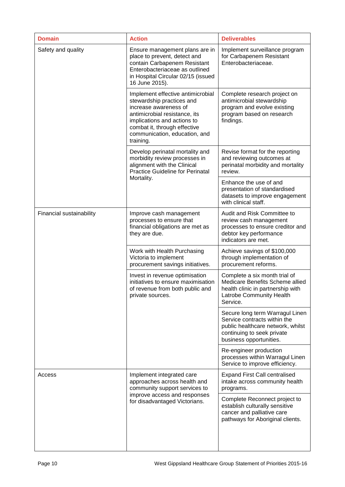| <b>Domain</b>            | <b>Action</b>                                                                                                                                                                                                                         | <b>Deliverables</b>                                                                                                                                           |
|--------------------------|---------------------------------------------------------------------------------------------------------------------------------------------------------------------------------------------------------------------------------------|---------------------------------------------------------------------------------------------------------------------------------------------------------------|
| Safety and quality       | Ensure management plans are in<br>place to prevent, detect and<br>contain Carbapenem Resistant<br>Enterobacteriaceae as outlined<br>in Hospital Circular 02/15 (issued<br>16 June 2015).                                              | Implement surveillance program<br>for Carbapenem Resistant<br>Enterobacteriaceae.                                                                             |
|                          | Implement effective antimicrobial<br>stewardship practices and<br>increase awareness of<br>antimicrobial resistance, its<br>implications and actions to<br>combat it, through effective<br>communication, education, and<br>training. | Complete research project on<br>antimicrobial stewardship<br>program and evolve existing<br>program based on research<br>findings.                            |
|                          | Develop perinatal mortality and<br>morbidity review processes in<br>alignment with the Clinical<br><b>Practice Guideline for Perinatal</b>                                                                                            | Revise format for the reporting<br>and reviewing outcomes at<br>perinatal morbidity and mortality<br>review.                                                  |
|                          | Mortality.                                                                                                                                                                                                                            | Enhance the use of and<br>presentation of standardised<br>datasets to improve engagement<br>with clinical staff.                                              |
| Financial sustainability | Improve cash management<br>processes to ensure that<br>financial obligations are met as<br>they are due.                                                                                                                              | Audit and Risk Committee to<br>review cash management<br>processes to ensure creditor and<br>debtor key performance<br>indicators are met.                    |
|                          | Work with Health Purchasing<br>Victoria to implement<br>procurement savings initiatives.                                                                                                                                              | Achieve savings of \$100,000<br>through implementation of<br>procurement reforms.                                                                             |
|                          | Invest in revenue optimisation<br>initiatives to ensure maximisation<br>of revenue from both public and<br>private sources.                                                                                                           | Complete a six month trial of<br>Medicare Benefits Scheme allied<br>health clinic in partnership with<br>Latrobe Community Health<br>Service.                 |
|                          |                                                                                                                                                                                                                                       | Secure long term Warragul Linen<br>Service contracts within the<br>public healthcare network, whilst<br>continuing to seek private<br>business opportunities. |
|                          |                                                                                                                                                                                                                                       | Re-engineer production<br>processes within Warragul Linen<br>Service to improve efficiency.                                                                   |
| Access                   | Implement integrated care<br>approaches across health and<br>community support services to                                                                                                                                            | <b>Expand First Call centralised</b><br>intake across community health<br>programs.                                                                           |
|                          | improve access and responses<br>for disadvantaged Victorians.                                                                                                                                                                         | Complete Reconnect project to<br>establish culturally sensitive<br>cancer and palliative care<br>pathways for Aboriginal clients.                             |
|                          |                                                                                                                                                                                                                                       |                                                                                                                                                               |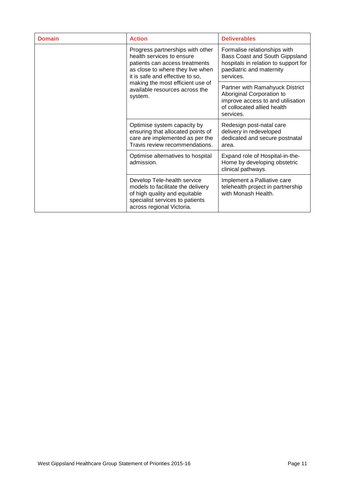<span id="page-10-0"></span>

| <b>Domain</b> | <b>Action</b>                                                                                                                                                                                                                                           | <b>Deliverables</b>                                                                                                                             |
|---------------|---------------------------------------------------------------------------------------------------------------------------------------------------------------------------------------------------------------------------------------------------------|-------------------------------------------------------------------------------------------------------------------------------------------------|
|               | Progress partnerships with other<br>health services to ensure<br>patients can access treatments<br>as close to where they live when<br>it is safe and effective to so,<br>making the most efficient use of<br>available resources across the<br>system. | Formalise relationships with<br>Bass Coast and South Gippsland<br>hospitals in relation to support for<br>paediatric and maternity<br>services. |
|               |                                                                                                                                                                                                                                                         | Partner with Ramahyuck District<br>Aboriginal Corporation to<br>improve access to and utilisation<br>of collocated allied health<br>services.   |
|               | Optimise system capacity by<br>ensuring that allocated points of<br>care are implemented as per the<br>Travis review recommendations.                                                                                                                   | Redesign post-natal care<br>delivery in redeveloped<br>dedicated and secure postnatal<br>area.                                                  |
|               | Optimise alternatives to hospital<br>admission.<br>clinical pathways.                                                                                                                                                                                   | Expand role of Hospital-in-the-<br>Home by developing obstetric                                                                                 |
|               | Develop Tele-health service<br>models to facilitate the delivery<br>of high quality and equitable<br>specialist services to patients<br>across regional Victoria.                                                                                       | Implement a Palliative care<br>telehealth project in partnership<br>with Monash Health.                                                         |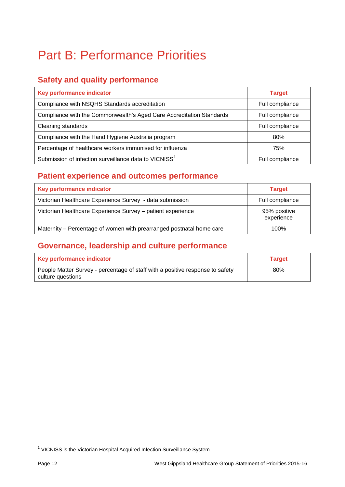# Part B: Performance Priorities

### <span id="page-11-0"></span>**Safety and quality performance**

| Key performance indicator                                            | <b>Target</b>   |
|----------------------------------------------------------------------|-----------------|
| Compliance with NSQHS Standards accreditation                        | Full compliance |
| Compliance with the Commonwealth's Aged Care Accreditation Standards | Full compliance |
| Cleaning standards                                                   | Full compliance |
| Compliance with the Hand Hygiene Australia program                   | 80%             |
| Percentage of healthcare workers immunised for influenza             | 75%             |
| Submission of infection surveillance data to VICNISS <sup>1</sup>    | Full compliance |

## **Patient experience and outcomes performance**

| Key performance indicator                                            | <b>Target</b>              |
|----------------------------------------------------------------------|----------------------------|
| Victorian Healthcare Experience Survey - data submission             | Full compliance            |
| Victorian Healthcare Experience Survey - patient experience          | 95% positive<br>experience |
| Maternity – Percentage of women with prearranged postnatal home care | 100%                       |

## <span id="page-11-1"></span>**Governance, leadership and culture performance**

<span id="page-11-2"></span>

| Key performance indicator                                                                          | <b>Target</b> |
|----------------------------------------------------------------------------------------------------|---------------|
| People Matter Survey - percentage of staff with a positive response to safety<br>culture questions | 80%           |

 $\overline{\phantom{a}}$ 

<sup>&</sup>lt;sup>1</sup> VICNISS is the Victorian Hospital Acquired Infection Surveillance System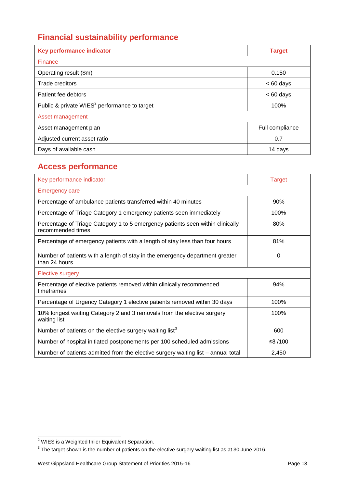## **Financial sustainability performance**

| Key performance indicator                                | <b>Target</b>   |  |
|----------------------------------------------------------|-----------------|--|
| Finance                                                  |                 |  |
| Operating result (\$m)                                   | 0.150           |  |
| Trade creditors                                          | $< 60$ days     |  |
| Patient fee debtors                                      | $< 60$ days     |  |
| Public & private WIES <sup>2</sup> performance to target | 100%            |  |
| Asset management                                         |                 |  |
| Asset management plan                                    | Full compliance |  |
| Adjusted current asset ratio                             | 0.7             |  |
| Days of available cash                                   | 14 days         |  |

### <span id="page-12-0"></span>**Access performance**

| Key performance indicator                                                                           | <b>Target</b> |
|-----------------------------------------------------------------------------------------------------|---------------|
| <b>Emergency care</b>                                                                               |               |
| Percentage of ambulance patients transferred within 40 minutes                                      | 90%           |
| Percentage of Triage Category 1 emergency patients seen immediately                                 | 100%          |
| Percentage of Triage Category 1 to 5 emergency patients seen within clinically<br>recommended times | 80%           |
| Percentage of emergency patients with a length of stay less than four hours                         | 81%           |
| Number of patients with a length of stay in the emergency department greater<br>than 24 hours       | $\Omega$      |
| <b>Elective surgery</b>                                                                             |               |
| Percentage of elective patients removed within clinically recommended<br>timeframes                 | 94%           |
| Percentage of Urgency Category 1 elective patients removed within 30 days                           | 100%          |
| 10% longest waiting Category 2 and 3 removals from the elective surgery<br>waiting list             | 100%          |
| Number of patients on the elective surgery waiting list <sup>3</sup>                                | 600           |
| Number of hospital initiated postponements per 100 scheduled admissions                             | ≤8 /100       |
| Number of patients admitted from the elective surgery waiting list - annual total                   | 2,450         |

l

 $2$  WIES is a Weighted Inlier Equivalent Separation.

 $^3$  The target shown is the number of patients on the elective surgery waiting list as at 30 June 2016.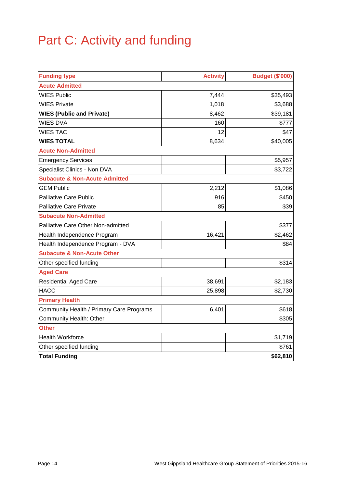# Part C: Activity and funding

<span id="page-13-0"></span>

| <b>Funding type</b>                      | <b>Activity</b> | <b>Budget (\$'000)</b> |
|------------------------------------------|-----------------|------------------------|
| <b>Acute Admitted</b>                    |                 |                        |
| <b>WIES Public</b>                       | 7,444           | \$35,493               |
| <b>WIES Private</b>                      | 1,018           | \$3,688                |
| <b>WIES (Public and Private)</b>         | 8,462           | \$39,181               |
| <b>WIES DVA</b>                          | 160             | \$777                  |
| <b>WIES TAC</b>                          | 12              | \$47                   |
| <b>WIES TOTAL</b>                        | 8,634           | \$40,005               |
| <b>Acute Non-Admitted</b>                |                 |                        |
| <b>Emergency Services</b>                |                 | \$5,957                |
| Specialist Clinics - Non DVA             |                 | \$3,722                |
| <b>Subacute &amp; Non-Acute Admitted</b> |                 |                        |
| <b>GEM Public</b>                        | 2,212           | \$1,086                |
| <b>Palliative Care Public</b>            | 916             | \$450                  |
| <b>Palliative Care Private</b>           | 85              | \$39                   |
| <b>Subacute Non-Admitted</b>             |                 |                        |
| Palliative Care Other Non-admitted       |                 | \$377                  |
| Health Independence Program              | 16,421          | \$2,462                |
| Health Independence Program - DVA        |                 | \$84                   |
| <b>Subacute &amp; Non-Acute Other</b>    |                 |                        |
| Other specified funding                  |                 | \$314                  |
| <b>Aged Care</b>                         |                 |                        |
| <b>Residential Aged Care</b>             | 38,691          | \$2,183                |
| <b>HACC</b>                              | 25,898          | \$2,730                |
| <b>Primary Health</b>                    |                 |                        |
| Community Health / Primary Care Programs | 6,401           | \$618                  |
| Community Health: Other                  |                 | \$305                  |
| <b>Other</b>                             |                 |                        |
| <b>Health Workforce</b>                  |                 | \$1,719                |
| Other specified funding                  |                 | \$761                  |
| <b>Total Funding</b>                     |                 | \$62,810               |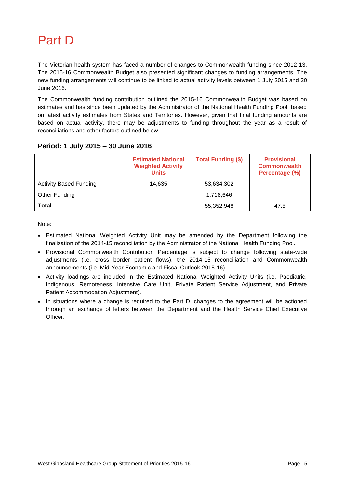# Part D

<span id="page-14-0"></span>The Victorian health system has faced a number of changes to Commonwealth funding since 2012-13. The 2015-16 Commonwealth Budget also presented significant changes to funding arrangements. The new funding arrangements will continue to be linked to actual activity levels between 1 July 2015 and 30 June 2016.

The Commonwealth funding contribution outlined the 2015-16 Commonwealth Budget was based on estimates and has since been updated by the Administrator of the National Health Funding Pool, based on latest activity estimates from States and Territories. However, given that final funding amounts are based on actual activity, there may be adjustments to funding throughout the year as a result of reconciliations and other factors outlined below.

|                               | <b>Estimated National</b><br><b>Weighted Activity</b><br><b>Units</b> | <b>Total Funding (\$)</b> | <b>Provisional</b><br><b>Commonwealth</b><br>Percentage (%) |
|-------------------------------|-----------------------------------------------------------------------|---------------------------|-------------------------------------------------------------|
| <b>Activity Based Funding</b> | 14,635                                                                | 53,634,302                |                                                             |
| Other Funding                 |                                                                       | 1,718,646                 |                                                             |
| Total                         |                                                                       | 55,352,948                | 47.5                                                        |

### **Period: 1 July 2015 – 30 June 2016**

Note:

- Estimated National Weighted Activity Unit may be amended by the Department following the finalisation of the 2014-15 reconciliation by the Administrator of the National Health Funding Pool.
- Provisional Commonwealth Contribution Percentage is subject to change following state-wide adjustments (i.e. cross border patient flows), the 2014-15 reconciliation and Commonwealth announcements (i.e. Mid-Year Economic and Fiscal Outlook 2015-16).
- Activity loadings are included in the Estimated National Weighted Activity Units (i.e. Paediatric, Indigenous, Remoteness, Intensive Care Unit, Private Patient Service Adjustment, and Private Patient Accommodation Adjustment).
- In situations where a change is required to the Part D, changes to the agreement will be actioned through an exchange of letters between the Department and the Health Service Chief Executive Officer.